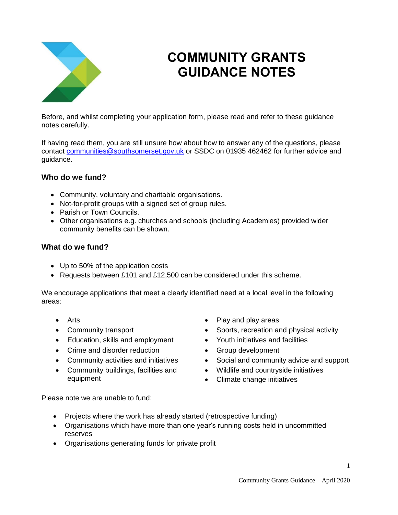

# **COMMUNITY GRANTS GUIDANCE NOTES**

Before, and whilst completing your application form, please read and refer to these guidance notes carefully.

If having read them, you are still unsure how about how to answer any of the questions, please contact [communities@southsomerset.gov.uk](mailto:communities@southsomerset.gov.uk) or SSDC on 01935 462462 for further advice and guidance.

# **Who do we fund?**

- Community, voluntary and charitable organisations.
- Not-for-profit groups with a signed set of group rules.
- Parish or Town Councils.
- Other organisations e.g. churches and schools (including Academies) provided wider community benefits can be shown.

## **What do we fund?**

- Up to 50% of the application costs
- Requests between £101 and £12,500 can be considered under this scheme.

We encourage applications that meet a clearly identified need at a local level in the following areas:

- 
- 
- Education, skills and employment Youth initiatives and facilities
- Crime and disorder reduction Group development
- 
- Community buildings, facilities and equipment
- Arts **Play and play areas**
- Community transport **Sports**, recreation and physical activity
	-
	-
- Community activities and initiatives Social and community advice and support
	- Wildlife and countryside initiatives
	- Climate change initiatives

Please note we are unable to fund:

- Projects where the work has already started (retrospective funding)
- Organisations which have more than one year's running costs held in uncommitted reserves
- Organisations generating funds for private profit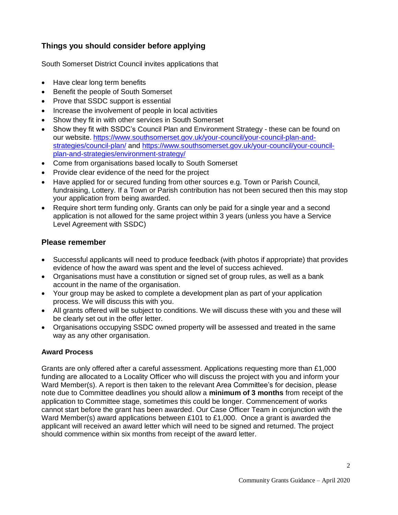# **Things you should consider before applying**

South Somerset District Council invites applications that

- Have clear long term benefits
- Benefit the people of South Somerset
- Prove that SSDC support is essential
- Increase the involvement of people in local activities
- Show they fit in with other services in South Somerset
- Show they fit with SSDC's Council Plan and Environment Strategy these can be found on our website. [https://www.southsomerset.gov.uk/your-council/your-council-plan-and](https://www.southsomerset.gov.uk/your-council/your-council-plan-and-strategies/council-plan/)[strategies/council-plan/](https://www.southsomerset.gov.uk/your-council/your-council-plan-and-strategies/council-plan/) and [https://www.southsomerset.gov.uk/your-council/your-council](https://www.southsomerset.gov.uk/your-council/your-council-plan-and-strategies/environment-strategy/)[plan-and-strategies/environment-strategy/](https://www.southsomerset.gov.uk/your-council/your-council-plan-and-strategies/environment-strategy/)
- Come from organisations based locally to South Somerset
- Provide clear evidence of the need for the project
- Have applied for or secured funding from other sources e.g. Town or Parish Council, fundraising, Lottery. If a Town or Parish contribution has not been secured then this may stop your application from being awarded.
- Require short term funding only. Grants can only be paid for a single year and a second application is not allowed for the same project within 3 years (unless you have a Service Level Agreement with SSDC)

#### **Please remember**

- Successful applicants will need to produce feedback (with photos if appropriate) that provides evidence of how the award was spent and the level of success achieved.
- Organisations must have a constitution or signed set of group rules, as well as a bank account in the name of the organisation.
- Your group may be asked to complete a development plan as part of your application process. We will discuss this with you.
- All grants offered will be subject to conditions. We will discuss these with you and these will be clearly set out in the offer letter.
- Organisations occupying SSDC owned property will be assessed and treated in the same way as any other organisation.

#### **Award Process**

Grants are only offered after a careful assessment. Applications requesting more than £1,000 funding are allocated to a Locality Officer who will discuss the project with you and inform your Ward Member(s). A report is then taken to the relevant Area Committee's for decision, please note due to Committee deadlines you should allow a **minimum of 3 months** from receipt of the application to Committee stage, sometimes this could be longer. Commencement of works cannot start before the grant has been awarded. Our Case Officer Team in conjunction with the Ward Member(s) award applications between £101 to £1,000. Once a grant is awarded the applicant will received an award letter which will need to be signed and returned. The project should commence within six months from receipt of the award letter.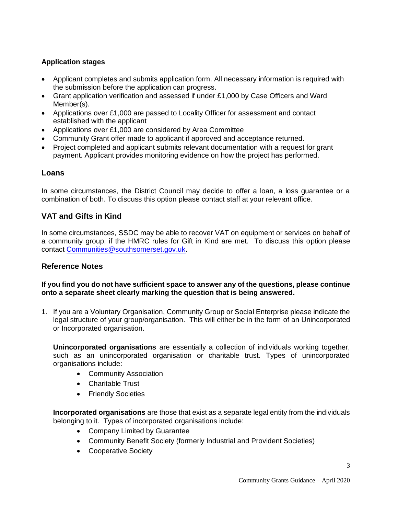# **Application stages**

- Applicant completes and submits application form. All necessary information is required with the submission before the application can progress.
- Grant application verification and assessed if under £1,000 by Case Officers and Ward Member(s).
- Applications over £1,000 are passed to Locality Officer for assessment and contact established with the applicant
- Applications over £1,000 are considered by Area Committee
- Community Grant offer made to applicant if approved and acceptance returned.
- Project completed and applicant submits relevant documentation with a request for grant payment. Applicant provides monitoring evidence on how the project has performed.

#### **Loans**

In some circumstances, the District Council may decide to offer a loan, a loss guarantee or a combination of both. To discuss this option please contact staff at your relevant office.

## **VAT and Gifts in Kind**

In some circumstances, SSDC may be able to recover VAT on equipment or services on behalf of a community group, if the HMRC rules for Gift in Kind are met. To discuss this option please contact [Communities@southsomerset.gov.uk.](mailto:Communities@southsomerset.gov.uk)

## **Reference Notes**

#### **If you find you do not have sufficient space to answer any of the questions, please continue onto a separate sheet clearly marking the question that is being answered.**

1. If you are a Voluntary Organisation, Community Group or Social Enterprise please indicate the legal structure of your group/organisation. This will either be in the form of an Unincorporated or Incorporated organisation.

**Unincorporated organisations** are essentially a collection of individuals working together, such as an unincorporated organisation or charitable trust. Types of unincorporated organisations include:

- Community Association
- Charitable Trust
- Friendly Societies

**Incorporated organisations** are those that exist as a separate legal entity from the individuals belonging to it. Types of incorporated organisations include:

- Company Limited by Guarantee
- Community Benefit Society (formerly Industrial and Provident Societies)
- Cooperative Society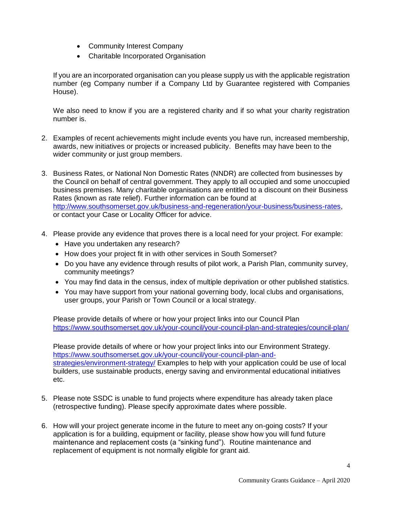- Community Interest Company
- Charitable Incorporated Organisation

If you are an incorporated organisation can you please supply us with the applicable registration number (eg Company number if a Company Ltd by Guarantee registered with Companies House).

We also need to know if you are a registered charity and if so what your charity registration number is.

- 2. Examples of recent achievements might include events you have run, increased membership, awards, new initiatives or projects or increased publicity. Benefits may have been to the wider community or just group members.
- 3. Business Rates, or National Non Domestic Rates (NNDR) are collected from businesses by the Council on behalf of central government. They apply to all occupied and some unoccupied business premises. Many charitable organisations are entitled to a discount on their Business Rates (known as rate relief). Further information can be found at [http://www.southsomerset.gov.uk/business-and-regeneration/your-business/business-rates,](http://www.southsomerset.gov.uk/business-and-regeneration/your-business/business-rates) or contact [your](mailto:Communities@southsomerset.gov.uk) Case or Locality Officer for advice.
- 4. Please provide any evidence that proves there is a local need for your project. For example:
	- Have you undertaken any research?
	- How does your project fit in with other services in South Somerset?
	- Do you have any evidence through results of pilot work, a Parish Plan, community survey, community meetings?
	- You may find data in the census, index of multiple deprivation or other published statistics.
	- You may have support from your national governing body, local clubs and organisations, user groups, your Parish or Town Council or a local strategy.

Please provide details of where or how your project links into our Council Plan <https://www.southsomerset.gov.uk/your-council/your-council-plan-and-strategies/council-plan/>

Please provide details of where or how your project links into our Environment Strategy. [https://www.southsomerset.gov.uk/your-council/your-council-plan-and](https://www.southsomerset.gov.uk/your-council/your-council-plan-and-strategies/environment-strategy/)[strategies/environment-strategy/](https://www.southsomerset.gov.uk/your-council/your-council-plan-and-strategies/environment-strategy/) Examples to help with your application could be use of local builders, use sustainable products, energy saving and environmental educational initiatives etc.

- 5. Please note SSDC is unable to fund projects where expenditure has already taken place (retrospective funding). Please specify approximate dates where possible.
- 6. How will your project generate income in the future to meet any on-going costs? If your application is for a building, equipment or facility, please show how you will fund future maintenance and replacement costs (a "sinking fund"). Routine maintenance and replacement of equipment is not normally eligible for grant aid.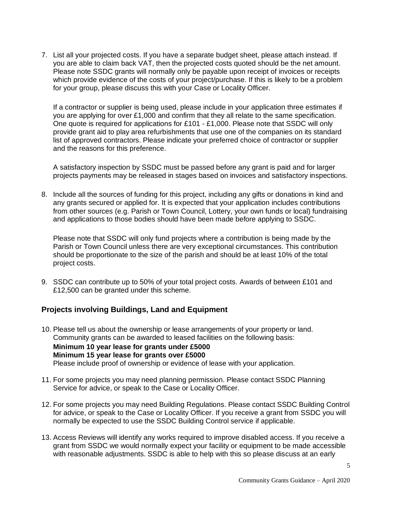7. List all your projected costs. If you have a separate budget sheet, please attach instead. If you are able to claim back VAT, then the projected costs quoted should be the net amount. Please note SSDC grants will normally only be payable upon receipt of invoices or receipts which provide evidence of the costs of your project/purchase. If this is likely to be a problem for your group, please discuss this with your Case or Locality Officer.

If a contractor or supplier is being used, please include in your application three estimates if you are applying for over £1,000 and confirm that they all relate to the same specification. One quote is required for applications for £101 - £1,000. Please note that SSDC will only provide grant aid to play area refurbishments that use one of the companies on its standard list of approved contractors. Please indicate your preferred choice of contractor or supplier and the reasons for this preference.

A satisfactory inspection by SSDC must be passed before any grant is paid and for larger projects payments may be released in stages based on invoices and satisfactory inspections.

8. Include all the sources of funding for this project, including any gifts or donations in kind and any grants secured or applied for. It is expected that your application includes contributions from other sources (e.g. Parish or Town Council, Lottery, your own funds or local) fundraising and applications to those bodies should have been made before applying to SSDC.

Please note that SSDC will only fund projects where a contribution is being made by the Parish or Town Council unless there are very exceptional circumstances. This contribution should be proportionate to the size of the parish and should be at least 10% of the total project costs.

9. SSDC can contribute up to 50% of your total project costs. Awards of between £101 and £12,500 can be granted under this scheme.

# **Projects involving Buildings, Land and Equipment**

- 10. Please tell us about the ownership or lease arrangements of your property or land. Community grants can be awarded to leased facilities on the following basis: **Minimum 10 year lease for grants under £5000 Minimum 15 year lease for grants over £5000** Please include proof of ownership or evidence of lease with your application.
- 11. For some projects you may need planning permission. Please contact SSDC Planning Service for advice, or speak to the Case or Locality Officer.
- 12. For some projects you may need Building Regulations. Please contact SSDC Building Control for advice, or speak to the Case or Locality Officer. If you receive a grant from SSDC you will normally be expected to use the SSDC Building Control service if applicable.
- 13. Access Reviews will identify any works required to improve disabled access. If you receive a grant from SSDC we would normally expect your facility or equipment to be made accessible with reasonable adjustments. SSDC is able to help with this so please discuss at an early